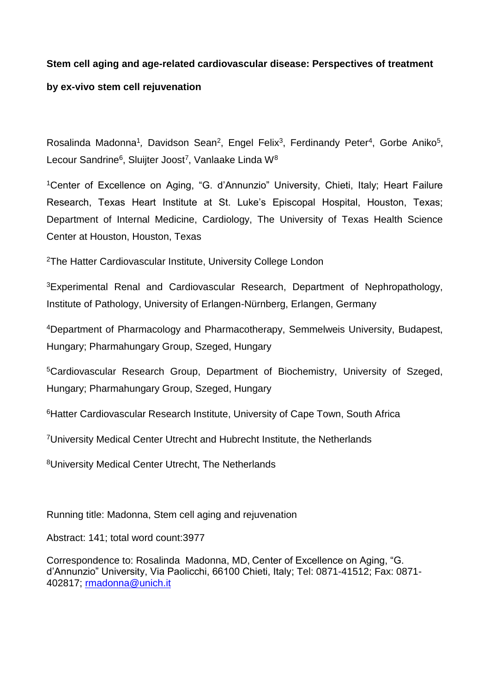### **Stem cell aging and age-related cardiovascular disease: Perspectives of treatment**

### **by ex-vivo stem cell rejuvenation**

Rosalinda Madonna<sup>1</sup>, Davidson Sean<sup>2</sup>, Engel Felix<sup>3</sup>, Ferdinandy Peter<sup>4</sup>, Gorbe Aniko<sup>5</sup>, Lecour Sandrine<sup>6</sup>, Sluijter Joost<sup>7</sup>, Vanlaake Linda W<sup>8</sup>

<sup>1</sup>Center of Excellence on Aging, "G. d'Annunzio" University, Chieti, Italy; Heart Failure Research, Texas Heart Institute at St. Luke's Episcopal Hospital, Houston, Texas; Department of Internal Medicine, Cardiology, The University of Texas Health Science Center at Houston, Houston, Texas

<sup>2</sup>The Hatter Cardiovascular Institute, University College London

<sup>3</sup>Experimental Renal and Cardiovascular Research, Department of Nephropathology, Institute of Pathology, University of Erlangen-Nürnberg, Erlangen, Germany

<sup>4</sup>Department of Pharmacology and Pharmacotherapy, Semmelweis University, Budapest, Hungary; Pharmahungary Group, Szeged, Hungary

<sup>5</sup>Cardiovascular Research Group, Department of Biochemistry, University of Szeged, Hungary; Pharmahungary Group, Szeged, Hungary

<sup>6</sup>Hatter Cardiovascular Research Institute, University of Cape Town, South Africa

<sup>7</sup>University Medical Center Utrecht and Hubrecht Institute, the Netherlands

<sup>8</sup>University Medical Center Utrecht, The Netherlands

Running title: Madonna, Stem cell aging and rejuvenation

Abstract: 141; total word count:3977

Correspondence to: Rosalinda Madonna, MD, Center of Excellence on Aging, "G. d'Annunzio" University, Via Paolicchi, 66100 Chieti, Italy; Tel: 0871-41512; Fax: 0871- 402817; [rmadonna@unich.it](mailto:rmadonna@unich.it)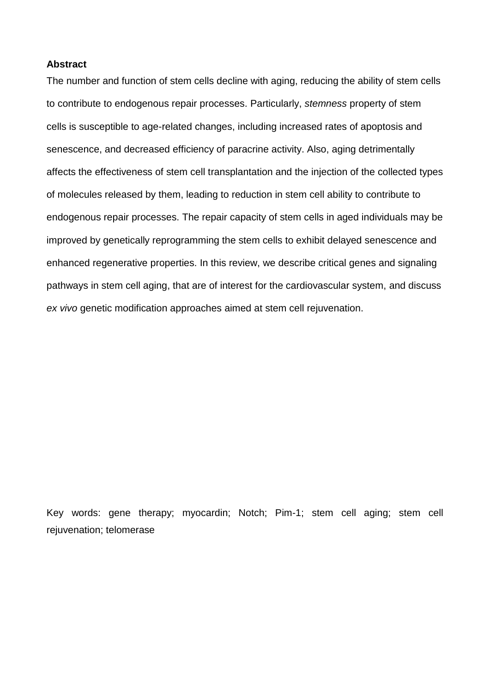### **Abstract**

The number and function of stem cells decline with aging, reducing the ability of stem cells to contribute to endogenous repair processes. Particularly, *stemness* property of stem cells is susceptible to age-related changes, including increased rates of apoptosis and senescence, and decreased efficiency of paracrine activity. Also, aging detrimentally affects the effectiveness of stem cell transplantation and the injection of the collected types of molecules released by them, leading to reduction in stem cell ability to contribute to endogenous repair processes. The repair capacity of stem cells in aged individuals may be improved by genetically reprogramming the stem cells to exhibit delayed senescence and enhanced regenerative properties. In this review, we describe critical genes and signaling pathways in stem cell aging, that are of interest for the cardiovascular system, and discuss *ex vivo* genetic modification approaches aimed at stem cell rejuvenation.

Key words: gene therapy; myocardin; Notch; Pim-1; stem cell aging; stem cell rejuvenation; telomerase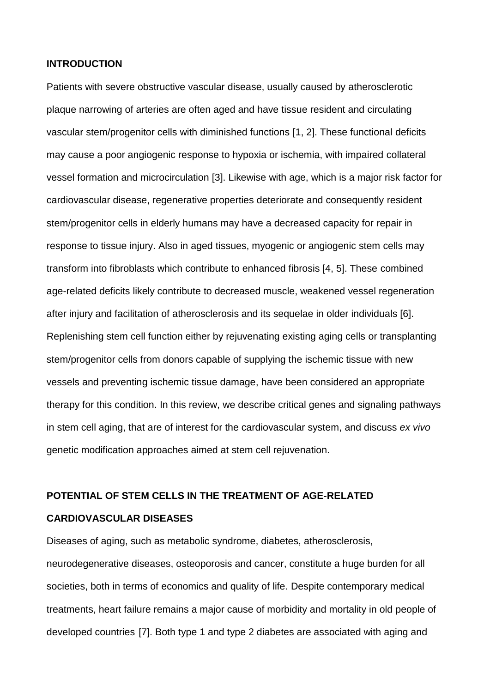#### **INTRODUCTION**

Patients with severe obstructive vascular disease, usually caused by atherosclerotic plaque narrowing of arteries are often aged and have tissue resident and circulating vascular stem/progenitor cells with diminished functions [1, 2]. These functional deficits may cause a poor angiogenic response to hypoxia or ischemia, with impaired collateral vessel formation and microcirculation [3]. Likewise with age, which is a major risk factor for cardiovascular disease, regenerative properties deteriorate and consequently resident stem/progenitor cells in elderly humans may have a decreased capacity for repair in response to tissue injury. Also in aged tissues, myogenic or angiogenic stem cells may transform into fibroblasts which contribute to enhanced fibrosis [4, 5]. These combined age-related deficits likely contribute to decreased muscle, weakened vessel regeneration after injury and facilitation of atherosclerosis and its sequelae in older individuals [6]. Replenishing stem cell function either by rejuvenating existing aging cells or transplanting stem/progenitor cells from donors capable of supplying the ischemic tissue with new vessels and preventing ischemic tissue damage, have been considered an appropriate therapy for this condition. In this review, we describe critical genes and signaling pathways in stem cell aging, that are of interest for the cardiovascular system, and discuss *ex vivo* genetic modification approaches aimed at stem cell rejuvenation.

# **POTENTIAL OF STEM CELLS IN THE TREATMENT OF AGE-RELATED CARDIOVASCULAR DISEASES**

Diseases of aging, such as metabolic syndrome, diabetes, atherosclerosis, neurodegenerative diseases, osteoporosis and cancer, constitute a huge burden for all societies, both in terms of economics and quality of life. Despite contemporary medical treatments, heart failure remains a major cause of morbidity and mortality in old people of developed countries [7]. Both type 1 and type 2 diabetes are associated with aging and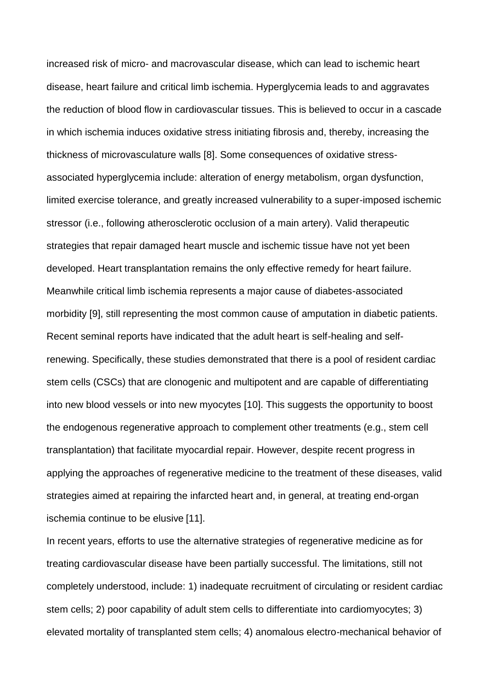increased risk of micro- and macrovascular disease, which can lead to ischemic heart disease, heart failure and critical limb ischemia. Hyperglycemia leads to and aggravates the reduction of blood flow in cardiovascular tissues. This is believed to occur in a cascade in which ischemia induces oxidative stress initiating fibrosis and, thereby, increasing the thickness of microvasculature walls [8]. Some consequences of oxidative stressassociated hyperglycemia include: alteration of energy metabolism, organ dysfunction, limited exercise tolerance, and greatly increased vulnerability to a super-imposed ischemic stressor (i.e., following atherosclerotic occlusion of a main artery). Valid therapeutic strategies that repair damaged heart muscle and ischemic tissue have not yet been developed. Heart transplantation remains the only effective remedy for heart failure. Meanwhile critical limb ischemia represents a major cause of diabetes-associated morbidity [9], still representing the most common cause of amputation in diabetic patients. Recent seminal reports have indicated that the adult heart is self-healing and selfrenewing. Specifically, these studies demonstrated that there is a pool of resident cardiac stem cells (CSCs) that are clonogenic and multipotent and are capable of differentiating into new blood vessels or into new myocytes [10]. This suggests the opportunity to boost the endogenous regenerative approach to complement other treatments (e.g., stem cell transplantation) that facilitate myocardial repair. However, despite recent progress in applying the approaches of regenerative medicine to the treatment of these diseases, valid strategies aimed at repairing the infarcted heart and, in general, at treating end-organ ischemia continue to be elusive [11].

In recent years, efforts to use the alternative strategies of regenerative medicine as for treating cardiovascular disease have been partially successful. The limitations, still not completely understood, include: 1) inadequate recruitment of circulating or resident cardiac stem cells; 2) poor capability of adult stem cells to differentiate into cardiomyocytes; 3) elevated mortality of transplanted stem cells; 4) anomalous electro-mechanical behavior of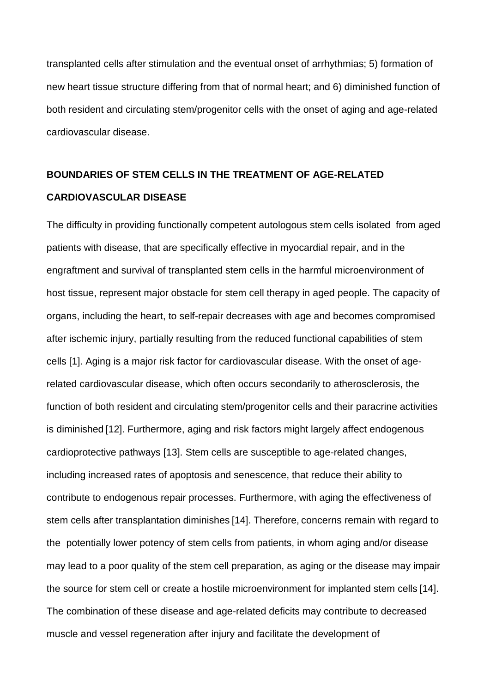transplanted cells after stimulation and the eventual onset of arrhythmias; 5) formation of new heart tissue structure differing from that of normal heart; and 6) diminished function of both resident and circulating stem/progenitor cells with the onset of aging and age-related cardiovascular disease.

# **BOUNDARIES OF STEM CELLS IN THE TREATMENT OF AGE-RELATED CARDIOVASCULAR DISEASE**

The difficulty in providing functionally competent autologous stem cells isolated from aged patients with disease, that are specifically effective in myocardial repair, and in the engraftment and survival of transplanted stem cells in the harmful microenvironment of host tissue, represent major obstacle for stem cell therapy in aged people. The capacity of organs, including the heart, to self-repair decreases with age and becomes compromised after ischemic injury, partially resulting from the reduced functional capabilities of stem cells [1]. Aging is a major risk factor for cardiovascular disease. With the onset of agerelated cardiovascular disease, which often occurs secondarily to atherosclerosis, the function of both resident and circulating stem/progenitor cells and their paracrine activities is diminished [12]. Furthermore, aging and risk factors might largely affect endogenous cardioprotective pathways [13]. Stem cells are susceptible to age-related changes, including increased rates of apoptosis and senescence, that reduce their ability to contribute to endogenous repair processes. Furthermore, with aging the effectiveness of stem cells after transplantation diminishes [14]. Therefore, concerns remain with regard to the potentially lower potency of stem cells from patients, in whom aging and/or disease may lead to a poor quality of the stem cell preparation, as aging or the disease may impair the source for stem cell or create a hostile microenvironment for implanted stem cells [14]. The combination of these disease and age-related deficits may contribute to decreased muscle and vessel regeneration after injury and facilitate the development of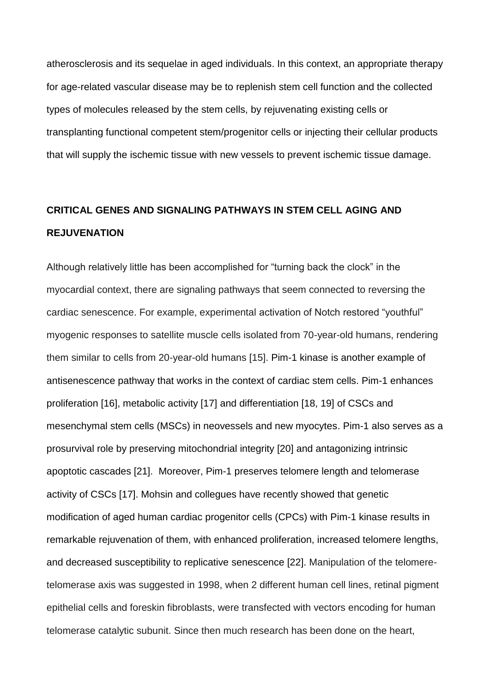atherosclerosis and its sequelae in aged individuals. In this context, an appropriate therapy for age-related vascular disease may be to replenish stem cell function and the collected types of molecules released by the stem cells, by rejuvenating existing cells or transplanting functional competent stem/progenitor cells or injecting their cellular products that will supply the ischemic tissue with new vessels to prevent ischemic tissue damage.

# **CRITICAL GENES AND SIGNALING PATHWAYS IN STEM CELL AGING AND REJUVENATION**

Although relatively little has been accomplished for "turning back the clock" in the myocardial context, there are signaling pathways that seem connected to reversing the cardiac senescence. For example, experimental activation of Notch restored "youthful" myogenic responses to satellite muscle cells isolated from 70-year-old humans, rendering them similar to cells from 20-year-old humans [15]. Pim-1 kinase is another example of antisenescence pathway that works in the context of cardiac stem cells. Pim-1 enhances proliferation [16], metabolic activity [17] and differentiation [18, 19] of CSCs and mesenchymal stem cells (MSCs) in neovessels and new myocytes. Pim-1 also serves as a prosurvival role by preserving mitochondrial integrity [20] and antagonizing intrinsic apoptotic cascades [21]. Moreover, Pim-1 preserves telomere length and telomerase activity of CSCs [17]. Mohsin and collegues have recently showed that genetic modification of aged human cardiac progenitor cells (CPCs) with Pim-1 kinase results in remarkable rejuvenation of them, with enhanced proliferation, increased telomere lengths, and decreased susceptibility to replicative senescence [22]. Manipulation of the telomeretelomerase axis was suggested in 1998, when 2 different human cell lines, retinal pigment epithelial cells and foreskin fibroblasts, were transfected with vectors encoding for human telomerase catalytic subunit. Since then much research has been done on the heart,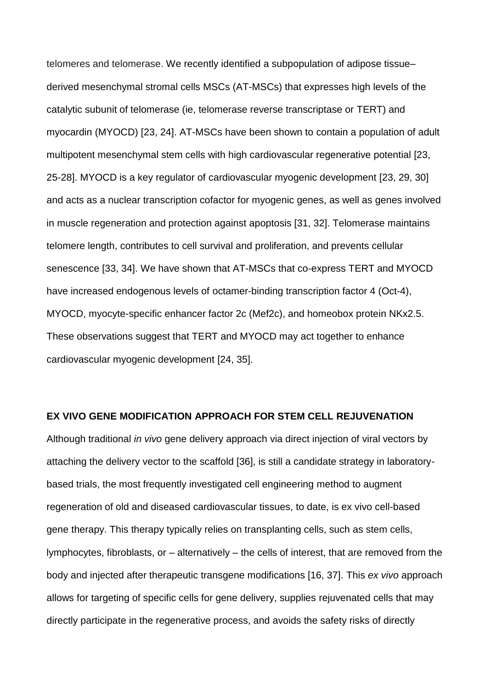telomeres and telomerase. We recently identified a subpopulation of adipose tissue– derived mesenchymal stromal cells MSCs (AT-MSCs) that expresses high levels of the catalytic subunit of telomerase (ie, telomerase reverse transcriptase or TERT) and myocardin (MYOCD) [23, 24]. AT-MSCs have been shown to contain a population of adult multipotent mesenchymal stem cells with high cardiovascular regenerative potential [23, 25-28]. MYOCD is a key regulator of cardiovascular myogenic development [23, 29, 30] and acts as a nuclear transcription cofactor for myogenic genes, as well as genes involved in muscle regeneration and protection against apoptosis [31, 32]. Telomerase maintains telomere length, contributes to cell survival and proliferation, and prevents cellular senescence [33, 34]. We have shown that AT-MSCs that co-express TERT and MYOCD have increased endogenous levels of octamer-binding transcription factor 4 (Oct-4), MYOCD, myocyte-specific enhancer factor 2c (Mef2c), and homeobox protein NKx2.5. These observations suggest that TERT and MYOCD may act together to enhance cardiovascular myogenic development [24, 35].

#### **EX VIVO GENE MODIFICATION APPROACH FOR STEM CELL REJUVENATION**

Although traditional *in vivo* gene delivery approach via direct injection of viral vectors by attaching the delivery vector to the scaffold [36], is still a candidate strategy in laboratorybased trials, the most frequently investigated cell engineering method to augment regeneration of old and diseased cardiovascular tissues, to date, is ex vivo cell-based gene therapy. This therapy typically relies on transplanting cells, such as stem cells, lymphocytes, fibroblasts, or – alternatively – the cells of interest, that are removed from the body and injected after therapeutic transgene modifications [16, 37]. This *ex vivo* approach allows for targeting of specific cells for gene delivery, supplies rejuvenated cells that may directly participate in the regenerative process, and avoids the safety risks of directly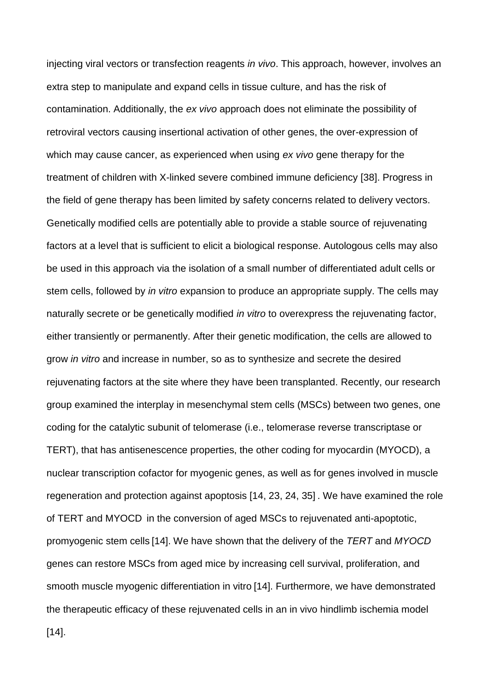injecting viral vectors or transfection reagents *in vivo*. This approach, however, involves an extra step to manipulate and expand cells in tissue culture, and has the risk of contamination. Additionally, the *ex vivo* approach does not eliminate the possibility of retroviral vectors causing insertional activation of other genes, the over-expression of which may cause cancer, as experienced when using *ex vivo* gene therapy for the treatment of children with X-linked severe combined immune deficiency [38]. Progress in the field of gene therapy has been limited by safety concerns related to delivery vectors. Genetically modified cells are potentially able to provide a stable source of rejuvenating factors at a level that is sufficient to elicit a biological response. Autologous cells may also be used in this approach via the isolation of a small number of differentiated adult cells or stem cells, followed by *in vitro* expansion to produce an appropriate supply. The cells may naturally secrete or be genetically modified *in vitro* to overexpress the rejuvenating factor, either transiently or permanently. After their genetic modification, the cells are allowed to grow *in vitro* and increase in number, so as to synthesize and secrete the desired rejuvenating factors at the site where they have been transplanted. Recently, our research group examined the interplay in mesenchymal stem cells (MSCs) between two genes, one coding for the catalytic subunit of telomerase (i.e., telomerase reverse transcriptase or TERT), that has antisenescence properties, the other coding for myocardin (MYOCD), a nuclear transcription cofactor for myogenic genes, as well as for genes involved in muscle regeneration and protection against apoptosis [14, 23, 24, 35] . We have examined the role of TERT and MYOCD in the conversion of aged MSCs to rejuvenated anti-apoptotic, promyogenic stem cells [14]. We have shown that the delivery of the *TERT* and *MYOCD* genes can restore MSCs from aged mice by increasing cell survival, proliferation, and smooth muscle myogenic differentiation in vitro [14]. Furthermore, we have demonstrated the therapeutic efficacy of these rejuvenated cells in an in vivo hindlimb ischemia model [14].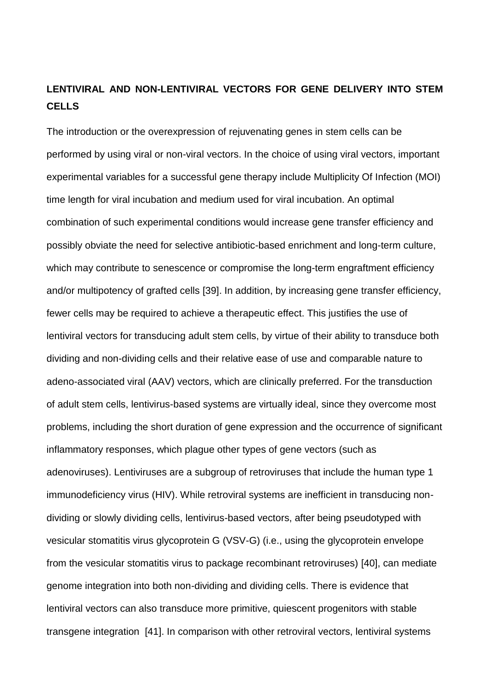## **LENTIVIRAL AND NON-LENTIVIRAL VECTORS FOR GENE DELIVERY INTO STEM CELLS**

The introduction or the overexpression of rejuvenating genes in stem cells can be performed by using viral or non-viral vectors. In the choice of using viral vectors, important experimental variables for a successful gene therapy include Multiplicity Of Infection (MOI) time length for viral incubation and medium used for viral incubation. An optimal combination of such experimental conditions would increase gene transfer efficiency and possibly obviate the need for selective antibiotic-based enrichment and long-term culture, which may contribute to senescence or compromise the long-term engraftment efficiency and/or multipotency of grafted cells [39]. In addition, by increasing gene transfer efficiency, fewer cells may be required to achieve a therapeutic effect. This justifies the use of lentiviral vectors for transducing adult stem cells, by virtue of their ability to transduce both dividing and non-dividing cells and their relative ease of use and comparable nature to adeno-associated viral (AAV) vectors, which are clinically preferred. For the transduction of adult stem cells, lentivirus-based systems are virtually ideal, since they overcome most problems, including the short duration of gene expression and the occurrence of significant inflammatory responses, which plague other types of gene vectors (such as adenoviruses). Lentiviruses are a subgroup of retroviruses that include the human type 1 immunodeficiency virus (HIV). While retroviral systems are inefficient in transducing nondividing or slowly dividing cells, lentivirus-based vectors, after being pseudotyped with vesicular stomatitis virus glycoprotein G (VSV-G) (i.e., using the glycoprotein envelope from the vesicular stomatitis virus to package recombinant retroviruses) [40], can mediate genome integration into both non-dividing and dividing cells. There is evidence that lentiviral vectors can also transduce more primitive, quiescent progenitors with stable transgene integration [41]. In comparison with other retroviral vectors, lentiviral systems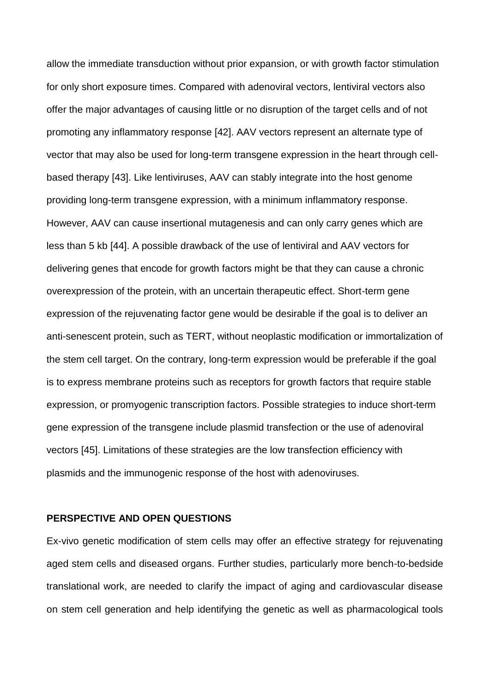allow the immediate transduction without prior expansion, or with growth factor stimulation for only short exposure times. Compared with adenoviral vectors, lentiviral vectors also offer the major advantages of causing little or no disruption of the target cells and of not promoting any inflammatory response [42]. AAV vectors represent an alternate type of vector that may also be used for long-term transgene expression in the heart through cellbased therapy [43]. Like lentiviruses, AAV can stably integrate into the host genome providing long-term transgene expression, with a minimum inflammatory response. However, AAV can cause insertional mutagenesis and can only carry genes which are less than 5 kb [44]. A possible drawback of the use of lentiviral and AAV vectors for delivering genes that encode for growth factors might be that they can cause a chronic overexpression of the protein, with an uncertain therapeutic effect. Short-term gene expression of the rejuvenating factor gene would be desirable if the goal is to deliver an anti-senescent protein, such as TERT, without neoplastic modification or immortalization of the stem cell target. On the contrary, long-term expression would be preferable if the goal is to express membrane proteins such as receptors for growth factors that require stable expression, or promyogenic transcription factors. Possible strategies to induce short-term gene expression of the transgene include plasmid transfection or the use of adenoviral vectors [45]. Limitations of these strategies are the low transfection efficiency with plasmids and the immunogenic response of the host with adenoviruses.

### **PERSPECTIVE AND OPEN QUESTIONS**

Ex-vivo genetic modification of stem cells may offer an effective strategy for rejuvenating aged stem cells and diseased organs. Further studies, particularly more bench-to-bedside translational work, are needed to clarify the impact of aging and cardiovascular disease on stem cell generation and help identifying the genetic as well as pharmacological tools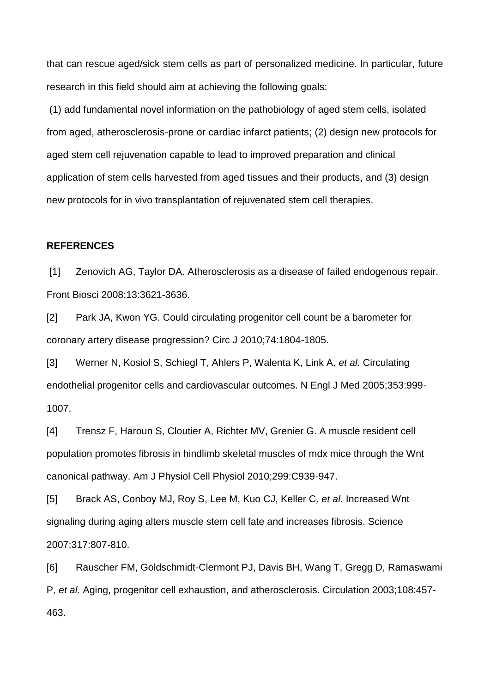that can rescue aged/sick stem cells as part of personalized medicine. In particular, future research in this field should aim at achieving the following goals:

(1) add fundamental novel information on the pathobiology of aged stem cells, isolated from aged, atherosclerosis-prone or cardiac infarct patients; (2) design new protocols for aged stem cell rejuvenation capable to lead to improved preparation and clinical application of stem cells harvested from aged tissues and their products, and (3) design new protocols for in vivo transplantation of rejuvenated stem cell therapies.

#### **REFERENCES**

[1] Zenovich AG, Taylor DA. Atherosclerosis as a disease of failed endogenous repair. Front Biosci 2008;13:3621-3636.

[2] Park JA, Kwon YG. Could circulating progenitor cell count be a barometer for coronary artery disease progression? Circ J 2010;74:1804-1805.

[3] Werner N, Kosiol S, Schiegl T, Ahlers P, Walenta K, Link A*, et al.* Circulating endothelial progenitor cells and cardiovascular outcomes. N Engl J Med 2005;353:999- 1007.

[4] Trensz F, Haroun S, Cloutier A, Richter MV, Grenier G. A muscle resident cell population promotes fibrosis in hindlimb skeletal muscles of mdx mice through the Wnt canonical pathway. Am J Physiol Cell Physiol 2010;299:C939-947.

[5] Brack AS, Conboy MJ, Roy S, Lee M, Kuo CJ, Keller C*, et al.* Increased Wnt signaling during aging alters muscle stem cell fate and increases fibrosis. Science 2007;317:807-810.

[6] Rauscher FM, Goldschmidt-Clermont PJ, Davis BH, Wang T, Gregg D, Ramaswami P*, et al.* Aging, progenitor cell exhaustion, and atherosclerosis. Circulation 2003;108:457- 463.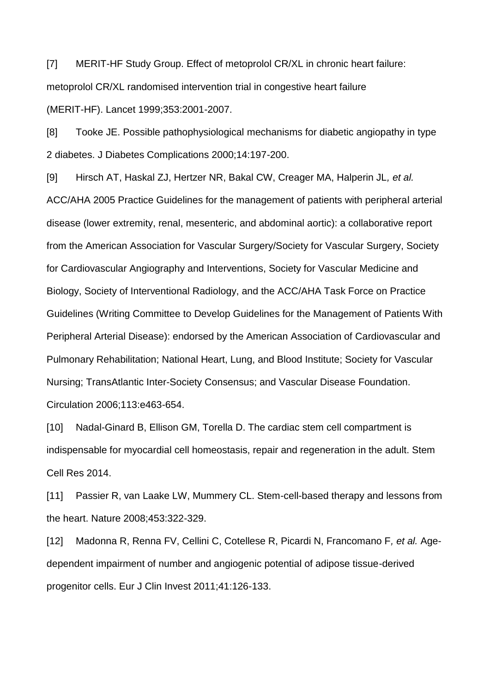[7] MERIT-HF Study Group. Effect of metoprolol CR/XL in chronic heart failure: metoprolol CR/XL randomised intervention trial in congestive heart failure (MERIT-HF). Lancet 1999;353:2001-2007.

[8] Tooke JE. Possible pathophysiological mechanisms for diabetic angiopathy in type 2 diabetes. J Diabetes Complications 2000;14:197-200.

[9] Hirsch AT, Haskal ZJ, Hertzer NR, Bakal CW, Creager MA, Halperin JL*, et al.* ACC/AHA 2005 Practice Guidelines for the management of patients with peripheral arterial disease (lower extremity, renal, mesenteric, and abdominal aortic): a collaborative report from the American Association for Vascular Surgery/Society for Vascular Surgery, Society for Cardiovascular Angiography and Interventions, Society for Vascular Medicine and Biology, Society of Interventional Radiology, and the ACC/AHA Task Force on Practice Guidelines (Writing Committee to Develop Guidelines for the Management of Patients With Peripheral Arterial Disease): endorsed by the American Association of Cardiovascular and Pulmonary Rehabilitation; National Heart, Lung, and Blood Institute; Society for Vascular Nursing; TransAtlantic Inter-Society Consensus; and Vascular Disease Foundation. Circulation 2006;113:e463-654.

[10] Nadal-Ginard B, Ellison GM, Torella D. The cardiac stem cell compartment is indispensable for myocardial cell homeostasis, repair and regeneration in the adult. Stem Cell Res 2014.

[11] Passier R, van Laake LW, Mummery CL. Stem-cell-based therapy and lessons from the heart. Nature 2008;453:322-329.

[12] Madonna R, Renna FV, Cellini C, Cotellese R, Picardi N, Francomano F*, et al.* Agedependent impairment of number and angiogenic potential of adipose tissue-derived progenitor cells. Eur J Clin Invest 2011;41:126-133.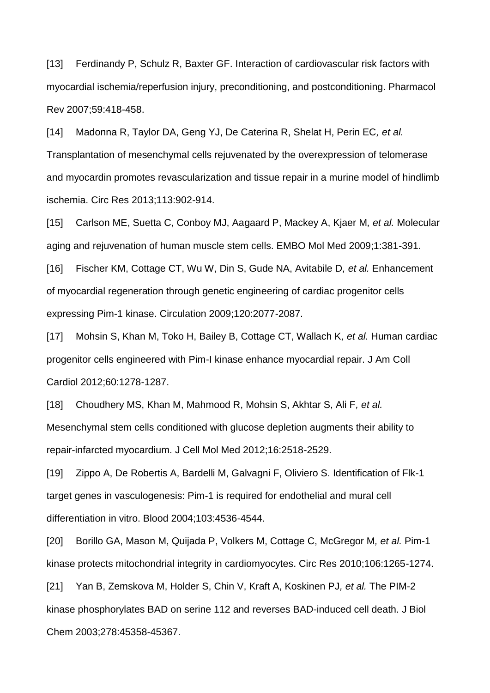[13] Ferdinandy P, Schulz R, Baxter GF. Interaction of cardiovascular risk factors with myocardial ischemia/reperfusion injury, preconditioning, and postconditioning. Pharmacol Rev 2007;59:418-458.

[14] Madonna R, Taylor DA, Geng YJ, De Caterina R, Shelat H, Perin EC*, et al.* Transplantation of mesenchymal cells rejuvenated by the overexpression of telomerase and myocardin promotes revascularization and tissue repair in a murine model of hindlimb ischemia. Circ Res 2013;113:902-914.

[15] Carlson ME, Suetta C, Conboy MJ, Aagaard P, Mackey A, Kjaer M*, et al.* Molecular aging and rejuvenation of human muscle stem cells. EMBO Mol Med 2009;1:381-391.

[16] Fischer KM, Cottage CT, Wu W, Din S, Gude NA, Avitabile D*, et al.* Enhancement of myocardial regeneration through genetic engineering of cardiac progenitor cells expressing Pim-1 kinase. Circulation 2009;120:2077-2087.

[17] Mohsin S, Khan M, Toko H, Bailey B, Cottage CT, Wallach K*, et al.* Human cardiac progenitor cells engineered with Pim-I kinase enhance myocardial repair. J Am Coll Cardiol 2012;60:1278-1287.

[18] Choudhery MS, Khan M, Mahmood R, Mohsin S, Akhtar S, Ali F*, et al.* Mesenchymal stem cells conditioned with glucose depletion augments their ability to repair-infarcted myocardium. J Cell Mol Med 2012;16:2518-2529.

[19] Zippo A, De Robertis A, Bardelli M, Galvagni F, Oliviero S. Identification of Flk-1 target genes in vasculogenesis: Pim-1 is required for endothelial and mural cell differentiation in vitro. Blood 2004;103:4536-4544.

[20] Borillo GA, Mason M, Quijada P, Volkers M, Cottage C, McGregor M*, et al.* Pim-1 kinase protects mitochondrial integrity in cardiomyocytes. Circ Res 2010;106:1265-1274.

[21] Yan B, Zemskova M, Holder S, Chin V, Kraft A, Koskinen PJ*, et al.* The PIM-2 kinase phosphorylates BAD on serine 112 and reverses BAD-induced cell death. J Biol Chem 2003;278:45358-45367.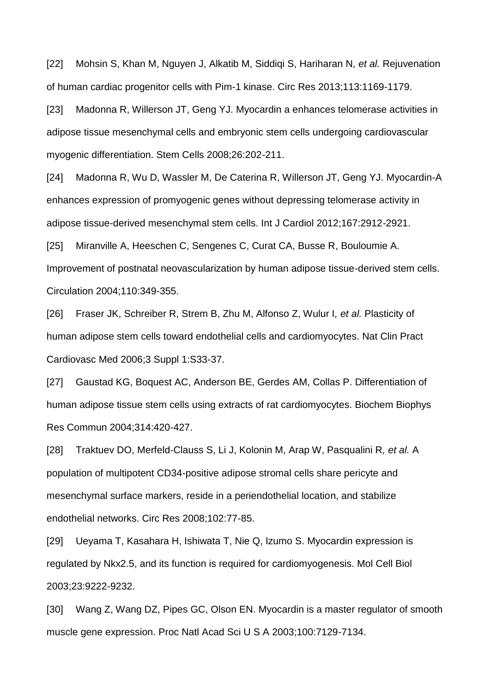[22] Mohsin S, Khan M, Nguyen J, Alkatib M, Siddiqi S, Hariharan N*, et al.* Rejuvenation of human cardiac progenitor cells with Pim-1 kinase. Circ Res 2013;113:1169-1179.

[23] Madonna R, Willerson JT, Geng YJ. Myocardin a enhances telomerase activities in adipose tissue mesenchymal cells and embryonic stem cells undergoing cardiovascular myogenic differentiation. Stem Cells 2008;26:202-211.

[24] Madonna R, Wu D, Wassler M, De Caterina R, Willerson JT, Geng YJ. Myocardin-A enhances expression of promyogenic genes without depressing telomerase activity in adipose tissue-derived mesenchymal stem cells. Int J Cardiol 2012;167:2912-2921.

[25] Miranville A, Heeschen C, Sengenes C, Curat CA, Busse R, Bouloumie A. Improvement of postnatal neovascularization by human adipose tissue-derived stem cells. Circulation 2004;110:349-355.

[26] Fraser JK, Schreiber R, Strem B, Zhu M, Alfonso Z, Wulur I*, et al.* Plasticity of human adipose stem cells toward endothelial cells and cardiomyocytes. Nat Clin Pract Cardiovasc Med 2006;3 Suppl 1:S33-37.

[27] Gaustad KG, Boquest AC, Anderson BE, Gerdes AM, Collas P. Differentiation of human adipose tissue stem cells using extracts of rat cardiomyocytes. Biochem Biophys Res Commun 2004;314:420-427.

[28] Traktuev DO, Merfeld-Clauss S, Li J, Kolonin M, Arap W, Pasqualini R*, et al.* A population of multipotent CD34-positive adipose stromal cells share pericyte and mesenchymal surface markers, reside in a periendothelial location, and stabilize endothelial networks. Circ Res 2008;102:77-85.

[29] Ueyama T, Kasahara H, Ishiwata T, Nie Q, Izumo S. Myocardin expression is regulated by Nkx2.5, and its function is required for cardiomyogenesis. Mol Cell Biol 2003;23:9222-9232.

[30] Wang Z, Wang DZ, Pipes GC, Olson EN. Myocardin is a master regulator of smooth muscle gene expression. Proc Natl Acad Sci U S A 2003;100:7129-7134.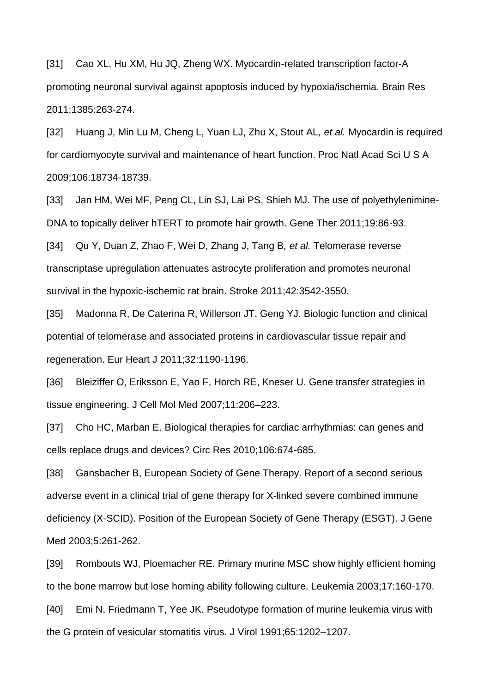[31] Cao XL, Hu XM, Hu JQ, Zheng WX. Myocardin-related transcription factor-A promoting neuronal survival against apoptosis induced by hypoxia/ischemia. Brain Res 2011;1385:263-274.

[32] Huang J, Min Lu M, Cheng L, Yuan LJ, Zhu X, Stout AL*, et al.* Myocardin is required for cardiomyocyte survival and maintenance of heart function. Proc Natl Acad Sci U S A 2009;106:18734-18739.

[33] Jan HM, Wei MF, Peng CL, Lin SJ, Lai PS, Shieh MJ. The use of polyethylenimine-DNA to topically deliver hTERT to promote hair growth. Gene Ther 2011;19:86-93.

[34] Qu Y, Duan Z, Zhao F, Wei D, Zhang J, Tang B*, et al.* Telomerase reverse transcriptase upregulation attenuates astrocyte proliferation and promotes neuronal survival in the hypoxic-ischemic rat brain. Stroke 2011;42:3542-3550.

[35] Madonna R, De Caterina R, Willerson JT, Geng YJ. Biologic function and clinical potential of telomerase and associated proteins in cardiovascular tissue repair and regeneration. Eur Heart J 2011;32:1190-1196.

[36] Bleiziffer O, Eriksson E, Yao F, Horch RE, Kneser U. Gene transfer strategies in tissue engineering. J Cell Mol Med 2007;11:206–223.

[37] Cho HC, Marban E. Biological therapies for cardiac arrhythmias: can genes and cells replace drugs and devices? Circ Res 2010;106:674-685.

[38] Gansbacher B, European Society of Gene Therapy. Report of a second serious adverse event in a clinical trial of gene therapy for X-linked severe combined immune deficiency (X-SCID). Position of the European Society of Gene Therapy (ESGT). J Gene Med 2003;5:261-262.

[39] Rombouts WJ, Ploemacher RE. Primary murine MSC show highly efficient homing to the bone marrow but lose homing ability following culture. Leukemia 2003;17:160-170. [40] Emi N, Friedmann T, Yee JK. Pseudotype formation of murine leukemia virus with the G protein of vesicular stomatitis virus. J Virol 1991;65:1202–1207.